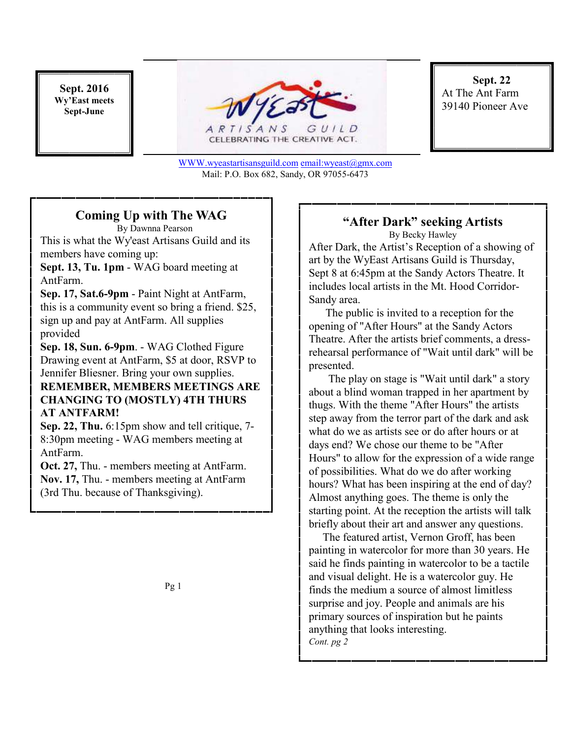**Sept. 2016 Wy'East meets Sept-June** 



CELEBRATING THE CREATIVE ACT.

**Sept. 22**  At The Ant Farm 39140 Pioneer Ave

#### WWW.wyeastartisansguild.com email:wyeast@gmx.com Mail: P.O. Box 682, Sandy, OR 97055-6473

## **Coming Up with The WAG**

 By Dawnna Pearson This is what the Wy'east Artisans Guild and its members have coming up:

**Sept. 13, Tu. 1pm** - WAG board meeting at AntFarm.

**Sep. 17, Sat.6-9pm** - Paint Night at AntFarm, this is a community event so bring a friend. \$25, sign up and pay at AntFarm. All supplies provided

**Sep. 18, Sun. 6-9pm**. - WAG Clothed Figure Drawing event at AntFarm, \$5 at door, RSVP to Jennifer Bliesner. Bring your own supplies. **REMEMBER, MEMBERS MEETINGS ARE CHANGING TO (MOSTLY) 4TH THURS** 

### **AT ANTFARM! Sep. 22, Thu.** 6:15pm show and tell critique, 7-

8:30pm meeting - WAG members meeting at AntFarm.

**Oct. 27,** Thu. - members meeting at AntFarm. **Nov. 17,** Thu. - members meeting at AntFarm (3rd Thu. because of Thanksgiving).

Pg 1

## **"After Dark" seeking Artists**

By Becky Hawley After Dark, the Artist's Reception of a showing of art by the WyEast Artisans Guild is Thursday, Sept 8 at 6:45pm at the Sandy Actors Theatre. It includes local artists in the Mt. Hood Corridor-Sandy area.

 The public is invited to a reception for the opening of "After Hours" at the Sandy Actors Theatre. After the artists brief comments, a dressrehearsal performance of "Wait until dark" will be presented.

 The play on stage is "Wait until dark" a story about a blind woman trapped in her apartment by thugs. With the theme "After Hours" the artists step away from the terror part of the dark and ask what do we as artists see or do after hours or at days end? We chose our theme to be "After Hours" to allow for the expression of a wide range of possibilities. What do we do after working hours? What has been inspiring at the end of day? Almost anything goes. The theme is only the starting point. At the reception the artists will talk briefly about their art and answer any questions.

 The featured artist, Vernon Groff, has been painting in watercolor for more than 30 years. He said he finds painting in watercolor to be a tactile and visual delight. He is a watercolor guy. He finds the medium a source of almost limitless surprise and joy. People and animals are his primary sources of inspiration but he paints anything that looks interesting. *Cont. pg 2*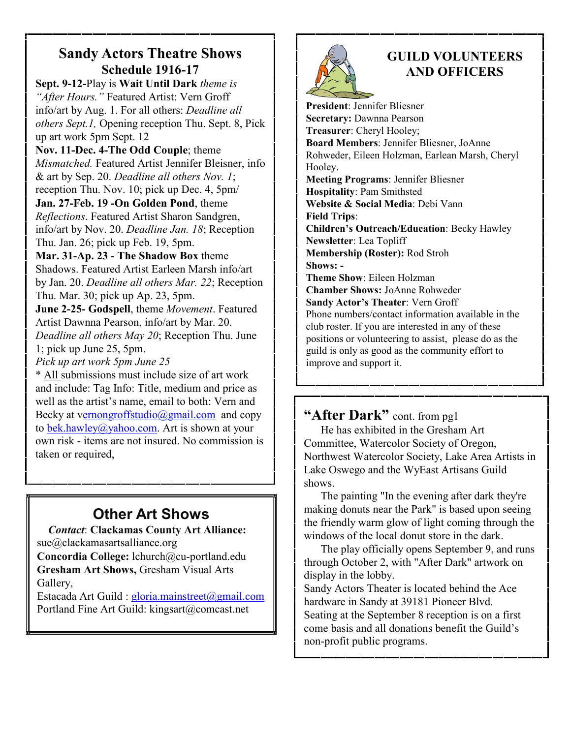#### **Sandy Actors Theatre Shows Schedule 1916-17**

**Sept. 9-12-**Play is **Wait Until Dark** *theme is "After Hours."* Featured Artist: Vern Groff info/art by Aug. 1. For all others: *Deadline all others Sept.1,* Opening reception Thu. Sept. 8, Pick up art work 5pm Sept. 12

**Nov. 11-Dec. 4-The Odd Couple**; theme *Mismatched.* Featured Artist Jennifer Bleisner, info & art by Sep. 20. *Deadline all others Nov. 1*; reception Thu. Nov. 10; pick up Dec. 4, 5pm/ **Jan. 27-Feb. 19 -On Golden Pond**, theme

*Reflections*. Featured Artist Sharon Sandgren, info/art by Nov. 20. *Deadline Jan. 18*; Reception Thu. Jan. 26; pick up Feb. 19, 5pm.

**Mar. 31-Ap. 23 - The Shadow Box** theme Shadows. Featured Artist Earleen Marsh info/art by Jan. 20. *Deadline all others Mar. 22*; Reception Thu. Mar. 30; pick up Ap. 23, 5pm.

**June 2-25- Godspell**, theme *Movement*. Featured Artist Dawnna Pearson, info/art by Mar. 20. *Deadline all others May 20*; Reception Thu. June 1; pick up June 25, 5pm.

*Pick up art work 5pm June 25* 

\* All submissions must include size of art work and include: Tag Info: Title, medium and price as well as the artist's name, email to both: Vern and Becky at vernongroffstudio@gmail.com and copy to bek.hawley@yahoo.com. Art is shown at your own risk - items are not insured. No commission is taken or required,

# **Other Art Shows**

 *Contact*: **Clackamas County Art Alliance:**  sue@clackamasartsalliance.org

**Concordia College:** lchurch@cu-portland.edu **Gresham Art Shows,** Gresham Visual Arts Gallery,

Estacada Art Guild : gloria.mainstreet@gmail.com Portland Fine Art Guild: kingsart@comcast.net



### **GUILD VOLUNTEERS AND OFFICERS**

**President**: Jennifer Bliesner **Secretary:** Dawnna Pearson **Treasurer**: Cheryl Hooley; **Board Members**: Jennifer Bliesner, JoAnne Rohweder, Eileen Holzman, Earlean Marsh, Cheryl Hooley. **Meeting Programs**: Jennifer Bliesner **Hospitality**: Pam Smithsted **Website & Social Media**: Debi Vann **Field Trips**: **Children's Outreach/Education**: Becky Hawley **Newsletter**: Lea Topliff **Membership (Roster):** Rod Stroh **Shows: - Theme Show**: Eileen Holzman **Chamber Shows:** JoAnne Rohweder **Sandy Actor's Theater**: Vern Groff Phone numbers/contact information available in the club roster. If you are interested in any of these positions or volunteering to assist, please do as the guild is only as good as the community effort to improve and support it.

**"After Dark"** cont. from pg1

 He has exhibited in the Gresham Art Committee, Watercolor Society of Oregon, Northwest Watercolor Society, Lake Area Artists in Lake Oswego and the WyEast Artisans Guild shows.

 The painting "In the evening after dark they're making donuts near the Park" is based upon seeing the friendly warm glow of light coming through the windows of the local donut store in the dark.

 The play officially opens September 9, and runs through October 2, with "After Dark" artwork on display in the lobby.

Sandy Actors Theater is located behind the Ace hardware in Sandy at 39181 Pioneer Blvd. Seating at the September 8 reception is on a first come basis and all donations benefit the Guild's non-profit public programs.